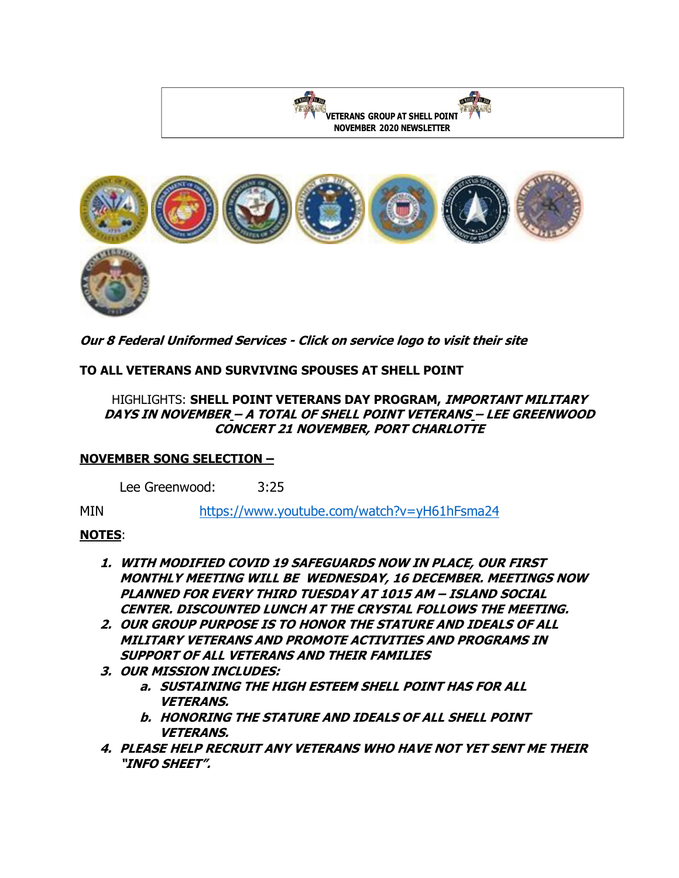

**Our 8 Federal Uniformed Services - Click on service logo to visit their site**

# **TO ALL VETERANS AND SURVIVING SPOUSES AT SHELL POINT**

### HIGHLIGHTS: **SHELL POINT VETERANS DAY PROGRAM, IMPORTANT MILITARY DAYS IN NOVEMBER – A TOTAL OF SHELL POINT VETERANS – LEE GREENWOOD CONCERT 21 NOVEMBER, PORT CHARLOTTE**

### **NOVEMBER SONG SELECTION –**

Lee Greenwood: 3:25

MIN <https://www.youtube.com/watch?v=yH61hFsma24>

## **NOTES**:

- **1. WITH MODIFIED COVID 19 SAFEGUARDS NOW IN PLACE, OUR FIRST MONTHLY MEETING WILL BE WEDNESDAY, 16 DECEMBER. MEETINGS NOW PLANNED FOR EVERY THIRD TUESDAY AT 1015 AM – ISLAND SOCIAL CENTER. DISCOUNTED LUNCH AT THE CRYSTAL FOLLOWS THE MEETING.**
- **2. OUR GROUP PURPOSE IS TO HONOR THE STATURE AND IDEALS OF ALL MILITARY VETERANS AND PROMOTE ACTIVITIES AND PROGRAMS IN SUPPORT OF ALL VETERANS AND THEIR FAMILIES**
- **3. OUR MISSION INCLUDES:** 
	- **a. SUSTAINING THE HIGH ESTEEM SHELL POINT HAS FOR ALL VETERANS.**
	- **b. HONORING THE STATURE AND IDEALS OF ALL SHELL POINT VETERANS.**
- **4. PLEASE HELP RECRUIT ANY VETERANS WHO HAVE NOT YET SENT ME THEIR "INFO SHEET".**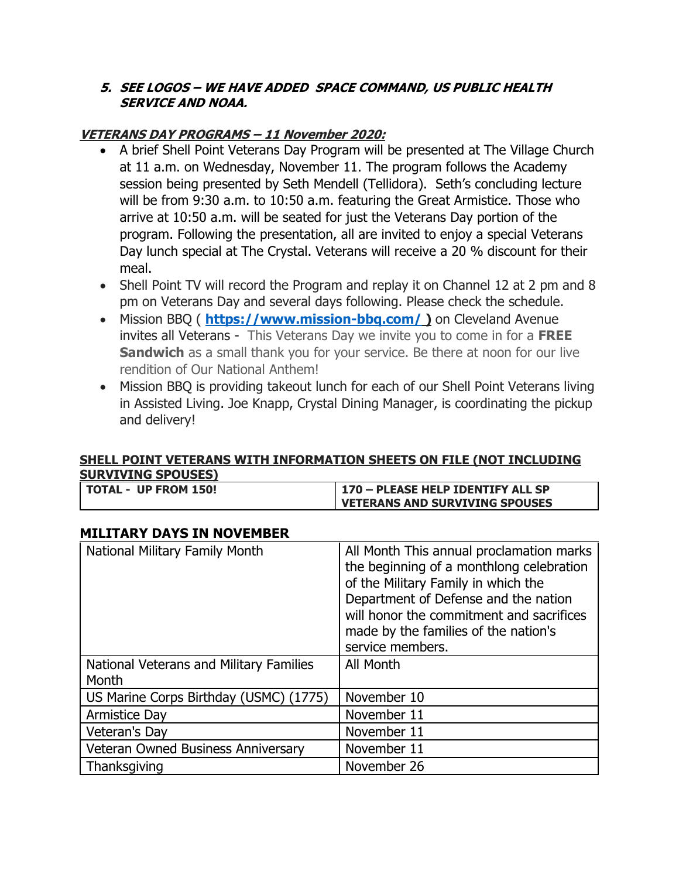### **5. SEE LOGOS – WE HAVE ADDED SPACE COMMAND, US PUBLIC HEALTH SERVICE AND NOAA.**

# **VETERANS DAY PROGRAMS – 11 November 2020:**

- A brief Shell Point Veterans Day Program will be presented at The Village Church at 11 a.m. on Wednesday, November 11. The program follows the Academy session being presented by Seth Mendell (Tellidora). Seth's concluding lecture will be from 9:30 a.m. to 10:50 a.m. featuring the Great Armistice. Those who arrive at 10:50 a.m. will be seated for just the Veterans Day portion of the program. Following the presentation, all are invited to enjoy a special Veterans Day lunch special at The Crystal. Veterans will receive a 20 % discount for their meal.
- Shell Point TV will record the Program and replay it on Channel 12 at 2 pm and 8 pm on Veterans Day and several days following. Please check the schedule.
- Mission BBQ ( **<https://www.mission-bbq.com/> )** on Cleveland Avenue invites all Veterans - This Veterans Day we invite you to come in for a **FREE Sandwich** as a small thank you for your service. Be there at noon for our live rendition of Our National Anthem!
- Mission BBQ is providing takeout lunch for each of our Shell Point Veterans living in Assisted Living. Joe Knapp, Crystal Dining Manager, is coordinating the pickup and delivery!

### **SHELL POINT VETERANS WITH INFORMATION SHEETS ON FILE (NOT INCLUDING SURVIVING SPOUSES)**

| TOTAL - UP FROM 150! | 170 - PLEASE HELP IDENTIFY ALL SP     |
|----------------------|---------------------------------------|
|                      | <b>VETERANS AND SURVIVING SPOUSES</b> |

## **MILITARY DAYS IN NOVEMBER**

| National Military Family Month                   | All Month This annual proclamation marks<br>the beginning of a monthlong celebration<br>of the Military Family in which the<br>Department of Defense and the nation<br>will honor the commitment and sacrifices<br>made by the families of the nation's<br>service members. |
|--------------------------------------------------|-----------------------------------------------------------------------------------------------------------------------------------------------------------------------------------------------------------------------------------------------------------------------------|
| National Veterans and Military Families<br>Month | All Month                                                                                                                                                                                                                                                                   |
| US Marine Corps Birthday (USMC) (1775)           | November 10                                                                                                                                                                                                                                                                 |
| <b>Armistice Day</b>                             | November 11                                                                                                                                                                                                                                                                 |
| Veteran's Day                                    | November 11                                                                                                                                                                                                                                                                 |
| <b>Veteran Owned Business Anniversary</b>        | November 11                                                                                                                                                                                                                                                                 |
| Thanksgiving                                     | November 26                                                                                                                                                                                                                                                                 |